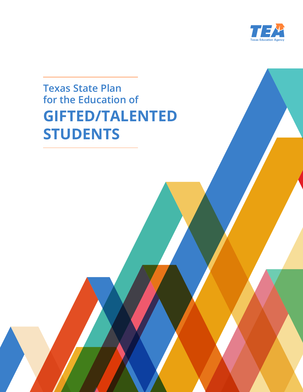

# **Texas State Plan for the Education of GIFTED/TALENTED STUDENTS**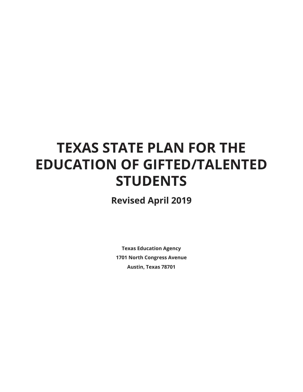# **TEXAS STATE PLAN FOR THE EDUCATION OF GIFTED/TALENTED STUDENTS**

**Revised April 2019**

**Texas Education Agency 1701 North Congress Avenue Austin, Texas 78701**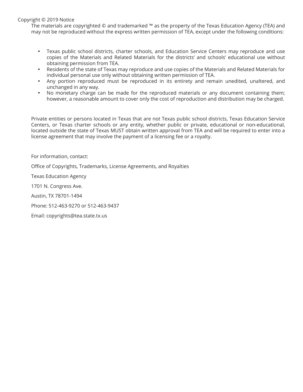### Copyright © 2019 Notice

The materials are copyrighted © and trademarked ™ as the property of the Texas Education Agency (TEA) and may not be reproduced without the express written permission of TEA, except under the following conditions:

- Texas public school districts, charter schools, and Education Service Centers may reproduce and use copies of the Materials and Related Materials for the districts' and schools' educational use without obtaining permission from TEA.
- Residents of the state of Texas may reproduce and use copies of the Materials and Related Materials for individual personal use only without obtaining written permission of TEA.
- • Any portion reproduced must be reproduced in its entirety and remain unedited, unaltered, and unchanged in any way.
- No monetary charge can be made for the reproduced materials or any document containing them; however, a reasonable amount to cover only the cost of reproduction and distribution may be charged.

Private entities or persons located in Texas that are not Texas public school districts, Texas Education Service Centers, or Texas charter schools or any entity, whether public or private, educational or non-educational, located outside the state of Texas MUST obtain written approval from TEA and will be required to enter into a license agreement that may involve the payment of a licensing fee or a royalty.

For information, contact:

Office of Copyrights, Trademarks, License Agreements, and Royalties

Texas Education Agency

1701 N. Congress Ave.

Austin, TX 78701-1494

Phone: 512-463-9270 or 512-463-9437

Email: copyrights@tea.state.tx.us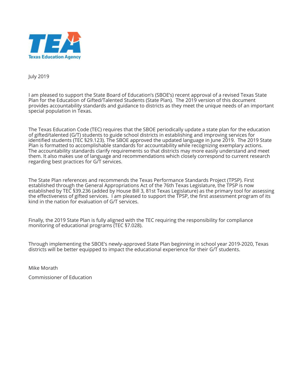

July 2019

I am pleased to support the State Board of Education's (SBOE's) recent approval of a revised Texas State Plan for the Education of Gifted/Talented Students (State Plan). The 2019 version of this document provides accountability standards and guidance to districts as they meet the unique needs of an important special population in Texas.

The Texas Education Code (TEC) requires that the SBOE periodically update a state plan for the education of gifted/talented (G/T) students to guide school districts in establishing and improving services for identified students (TEC §29.123). The SBOE approved the updated language in June 2019. The 2019 State Plan is formatted to accomplishable standards for accountability while recognizing exemplary actions. The accountability standards clarify requirements so that districts may more easily understand and meet them. It also makes use of language and recommendations which closely correspond to current research regarding best practices for G/T services.

The State Plan references and recommends the Texas Performance Standards Project (TPSP). First established through the General Appropriations Act of the 76th Texas Legislature, the TPSP is now established by TEC §39.236 (added by House Bill 3, 81st Texas Legislature) as the primary tool for assessing the effectiveness of gifted services. I am pleased to support the TPSP, the first assessment program of its kind in the nation for evaluation of G/T services.

Finally, the 2019 State Plan is fully aligned with the TEC requiring the responsibility for compliance monitoring of educational programs (TEC §7.028).

Through implementing the SBOE's newly-approved State Plan beginning in school year 2019-2020, Texas districts will be better equipped to impact the educational experience for their G/T students.

Mike Morath

Commissioner of Education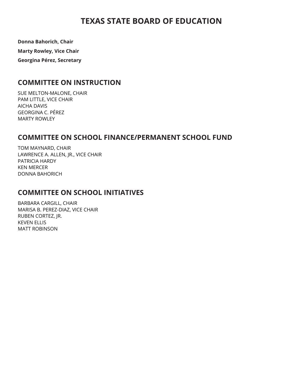# **TEXAS STATE BOARD OF EDUCATION**

**Donna Bahorich, Chair**

**Marty Rowley, Vice Chair**

**Georgina Pérez, Secretary**

# **COMMITTEE ON INSTRUCTION**

SUE MELTON-MALONE, CHAIR PAM LITTLE, VICE CHAIR AICHA DAVIS GEORGINA C. PÉREZ MARTY ROWLEY

# **COMMITTEE ON SCHOOL FINANCE/PERMANENT SCHOOL FUND**

TOM MAYNARD, CHAIR LAWRENCE A. ALLEN, JR., VICE CHAIR PATRICIA HARDY KEN MERCER DONNA BAHORICH

# **COMMITTEE ON SCHOOL INITIATIVES**

BARBARA CARGILL, CHAIR MARISA B. PEREZ-DIAZ, VICE CHAIR RUBEN CORTEZ, JR. KEVEN ELLIS MATT ROBINSON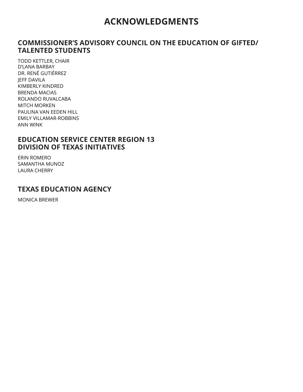# **ACKNOWLEDGMENTS**

# **COMMISSIONER'S ADVISORY COUNCIL ON THE EDUCATION OF GIFTED/ TALENTED STUDENTS**

TODD KETTLER, CHAIR D'LANA BARBAY DR. RENÉ GUTIÉRREZ JEFF DAVILA KIMBERLY KINDRED BRENDA MACIAS ROLANDO RUVALCABA MITCH MORKEN PAULINA VAN EEDEN HILL EMILY VILLAMAR-ROBBINS ANN WINK

# **EDUCATION SERVICE CENTER REGION 13 DIVISION OF TEXAS INITIATIVES**

ERIN ROMERO SAMANTHA MUNOZ LAURA CHERRY

# **TEXAS EDUCATION AGENCY**

MONICA BREWER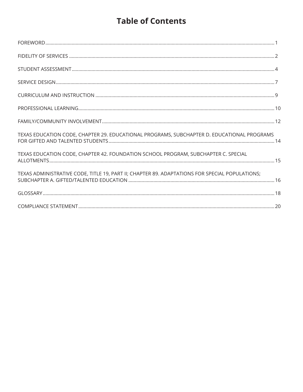# **Table of Contents**

| TEXAS EDUCATION CODE, CHAPTER 29. EDUCATIONAL PROGRAMS, SUBCHAPTER D. EDUCATIONAL PROGRAMS     |  |
|------------------------------------------------------------------------------------------------|--|
| TEXAS EDUCATION CODE, CHAPTER 42. FOUNDATION SCHOOL PROGRAM, SUBCHAPTER C. SPECIAL             |  |
| TEXAS ADMINISTRATIVE CODE, TITLE 19, PART II; CHAPTER 89. ADAPTATIONS FOR SPECIAL POPULATIONS; |  |
|                                                                                                |  |
|                                                                                                |  |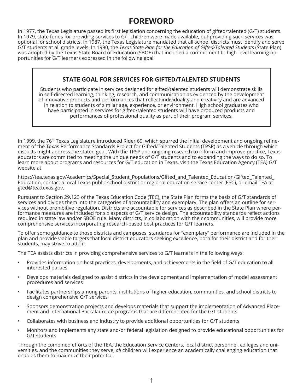# **FOREWORD**

In 1977, the Texas Legislature passed its first legislation concerning the education of gifted/talented (G/T) students. In 1979, state funds for providing services to G/T children were made available, but providing such services was optional for school districts. In 1987, the Texas Legislature mandated that all school districts must identify and serve G/T students at all grade levels. In 1990, the *Texas State Plan for the Education of Gifted/Talented Students* (State Plan) was adopted by the Texas State Board of Education (SBOE) that included a commitment to high-level learning opportunities for G/T learners expressed in the following goal:

# **STATE GOAL FOR SERVICES FOR GIFTED/TALENTED STUDENTS**

Students who participate in services designed for gifted/talented students will demonstrate skills in self-directed learning, thinking, research, and communication as evidenced by the development of innovative products and performances that reflect individuality and creativity and are advanced in relation to students of similar age, experience, or environment. High school graduates who have participated in services for gifted/talented students will have produced products and performances of professional quality as part of their program services.

In 1999, the 76<sup>th</sup> Texas Legislature introduced Rider 69, which spurred the initial development and ongoing refinement of the Texas Performance Standards Project for Gifted/Talented Students (TPSP) as a vehicle through which districts might address the stated goal. With the TPSP and ongoing research to inform and improve practice, Texas educators are committed to meeting the unique needs of G/T students and to expanding the ways to do so. To learn more about programs and resources for G/T education in Texas, visit the Texas Education Agency (TEA) G/T website at

https://tea.texas.gov/Academics/Special\_Student\_Populations/Gifted\_and\_Talented\_Education/Gifted\_Talented\_ Education, contact a local Texas public school district or regional education service center (ESC), or email TEA at gted@tea.texas.gov.

Pursuant to Section 29.123 of the Texas Education Code (TEC), the State Plan forms the basis of G/T standards of services and divides them into the categories of accountability and exemplary. The plan offers an outline for services without prohibitive regulation. Districts are accountable for services as described in the State Plan where performance measures are included for six aspects of G/T service design. The accountability standards reflect actions required in state law and/or SBOE rule. Many districts, in collaboration with their communities, will provide more comprehensive services incorporating research-based best practices for G/T learners.

To offer some guidance to those districts and campuses, standards for "exemplary" performance are included in the plan and provide viable targets that local district educators seeking excellence, both for their district and for their students, may strive to attain.

The TEA assists districts in providing comprehensive services to G/T learners in the following ways:

- Provides information on best practices, developments, and achievements in the field of G/T education to all interested parties
- Develops materials designed to assist districts in the development and implementation of model assessment procedures and services
- Facilitates partnerships among parents, institutions of higher education, communities, and school districts to design comprehensive G/T services
- Sponsors demonstration projects and develops materials that support the implementation of Advanced Placement and International Baccalaureate programs that are differentiated for the G/T students
- Collaborates with business and industry to provide additional opportunities for G/T students
- Monitors and implements any state and/or federal legislation designed to provide educational opportunities for G/T students

Through the combined efforts of the TEA, the Education Service Centers, local district personnel, colleges and universities, and the communities they serve, *all* children will experience an academically challenging education that enables them to maximize their potential.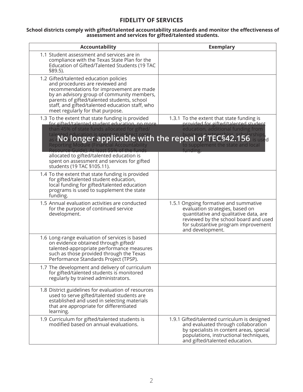# **FIDELITY OF SERVICES**

#### **School districts comply with gifted/talented accountability standards and monitor the effectiveness of assessment and services for gifted/talented students.**

| Accountability                                                                                                                                                                                                                                                                                                                                     | <b>Exemplary</b>                                                                                                                                                                                                                                     |
|----------------------------------------------------------------------------------------------------------------------------------------------------------------------------------------------------------------------------------------------------------------------------------------------------------------------------------------------------|------------------------------------------------------------------------------------------------------------------------------------------------------------------------------------------------------------------------------------------------------|
| 1.1 Student assessment and services are in<br>compliance with the Texas State Plan for the<br>Education of Gifted/Talented Students (19 TAC<br>§89.5).                                                                                                                                                                                             |                                                                                                                                                                                                                                                      |
| 1.2 Gifted/talented education policies<br>and procedures are reviewed and<br>recommendations for improvement are made<br>by an advisory group of community members,<br>parents of gifted/talented students, school<br>staff, and gifted/talented education staff, who<br>meet regularly for that purpose.                                          |                                                                                                                                                                                                                                                      |
| 1.3 To the extent that state funding is provided<br>for gifted/talented student education, no more<br>than 45% of state funds allocated for gifted/<br><b>Reporting Module (Financial Accountability</b><br>Resource Guide). At least 55% of the funds<br>allocated to gifted/talented education is<br>spent on assessment and services for gifted | 1.3.1 To the extent that state funding is<br>provided for gifted/talented student<br>education, additional funding from<br>talented aducation is spentic able twith the repeal of TECS42.156 is used<br>to supplement the state and local<br>funding |
| students (19 TAC §105.11).<br>1.4 To the extent that state funding is provided<br>for gifted/talented student education,<br>local funding for gifted/talented education<br>programs is used to supplement the state<br>funding.                                                                                                                    |                                                                                                                                                                                                                                                      |
| 1.5 Annual evaluation activities are conducted<br>for the purpose of continued service<br>development.                                                                                                                                                                                                                                             | 1.5.1 Ongoing formative and summative<br>evaluation strategies, based on<br>quantitative and qualitative data, are<br>reviewed by the school board and used<br>for substantive program improvement<br>and development.                               |
| 1.6 Long-range evaluation of services is based<br>on evidence obtained through gifted/<br>talented-appropriate performance measures<br>such as those provided through the Texas<br>Performance Standards Project (TPSP).                                                                                                                           |                                                                                                                                                                                                                                                      |
| 1.7 The development and delivery of curriculum<br>for gifted/talented students is monitored<br>regularly by trained administrators.                                                                                                                                                                                                                |                                                                                                                                                                                                                                                      |
| 1.8 District guidelines for evaluation of resources<br>used to serve gifted/talented students are<br>established and used in selecting materials<br>that are appropriate for differentiated<br>learning.                                                                                                                                           |                                                                                                                                                                                                                                                      |
| 1.9 Curriculum for gifted/talented students is<br>modified based on annual evaluations.                                                                                                                                                                                                                                                            | 1.9.1 Gifted/talented curriculum is designed<br>and evaluated through collaboration<br>by specialists in content areas, special<br>populations, instructional techniques,<br>and gifted/talented education.                                          |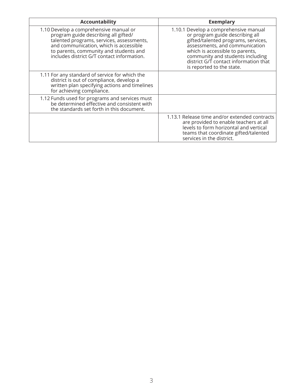| <b>Accountability</b>                                                                                                                                                                                                                                         | <b>Exemplary</b>                                                                                                                                                                                                                                                                               |
|---------------------------------------------------------------------------------------------------------------------------------------------------------------------------------------------------------------------------------------------------------------|------------------------------------------------------------------------------------------------------------------------------------------------------------------------------------------------------------------------------------------------------------------------------------------------|
| 1.10 Develop a comprehensive manual or<br>program guide describing all gifted/<br>talented programs, services, assessments,<br>and communication, which is accessible<br>to parents, community and students and<br>includes district G/T contact information. | 1.10.1 Develop a comprehensive manual<br>or program guide describing all<br>gifted/talented programs, services,<br>assessments, and communication<br>which is accessible to parents,<br>community and students including<br>district G/T contact information that<br>is reported to the state. |
| 1.11 For any standard of service for which the<br>district is out of compliance, develop a<br>written plan specifying actions and timelines<br>for achieving compliance.                                                                                      |                                                                                                                                                                                                                                                                                                |
| 1.12 Funds used for programs and services must<br>be determined effective and consistent with<br>the standards set forth in this document.                                                                                                                    |                                                                                                                                                                                                                                                                                                |
|                                                                                                                                                                                                                                                               | 1.13.1 Release time and/or extended contracts<br>are provided to enable teachers at all<br>levels to form horizontal and vertical<br>teams that coordinate gifted/talented<br>services in the district.                                                                                        |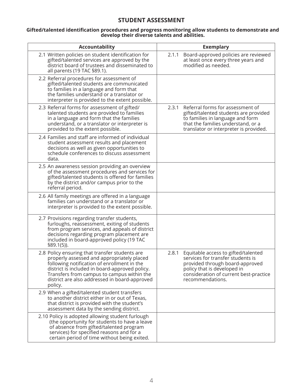## **STUDENT ASSESSMENT**

#### **Gifted/talented identification procedures and progress monitoring allow students to demonstrate and develop their diverse talents and abilities.**

| <b>Accountability</b>                                                                                                                                                                                                                                                                                   | <b>Exemplary</b>                                                                                                                                                                                                  |
|---------------------------------------------------------------------------------------------------------------------------------------------------------------------------------------------------------------------------------------------------------------------------------------------------------|-------------------------------------------------------------------------------------------------------------------------------------------------------------------------------------------------------------------|
| 2.1 Written policies on student identification for<br>gifted/talented services are approved by the<br>district board of trustees and disseminated to<br>all parents (19 TAC §89.1).                                                                                                                     | Board-approved policies are reviewed<br>2.1.1<br>at least once every three years and<br>modified as needed.                                                                                                       |
| 2.2 Referral procedures for assessment of<br>gifted/talented students are communicated<br>to families in a language and form that<br>the families understand or a translator or<br>interpreter is provided to the extent possible.                                                                      |                                                                                                                                                                                                                   |
| 2.3 Referral forms for assessment of gifted/<br>talented students are provided to families<br>in a language and form that the families<br>understand, or a translator or interpreter is<br>provided to the extent possible.                                                                             | Referral forms for assessment of<br>2.3.1<br>gifted/talented students are provided<br>to families in language and form<br>that the families understand, or a<br>translator or interpreter is provided.            |
| 2.4 Families and staff are informed of individual<br>student assessment results and placement<br>decisions as well as given opportunities to<br>schedule conferences to discuss assessment<br>data.                                                                                                     |                                                                                                                                                                                                                   |
| 2.5 An awareness session providing an overview<br>of the assessment procedures and services for<br>gifted/talented students is offered for families<br>by the district and/or campus prior to the<br>referral period.                                                                                   |                                                                                                                                                                                                                   |
| 2.6 All family meetings are offered in a language<br>families can understand or a translator or<br>interpreter is provided to the extent possible.                                                                                                                                                      |                                                                                                                                                                                                                   |
| 2.7 Provisions regarding transfer students,<br>furloughs, reassessment, exiting of students<br>from program services, and appeals of district<br>decisions regarding program placement are<br>included in board-approved policy (19 TAC<br>$$89.1(5)$ ).                                                |                                                                                                                                                                                                                   |
| 2.8 Policy ensuring that transfer students are<br>properly assessed and appropriately placed<br>following notification of enrollment in the<br>district is included in board-approved policy.<br>Transfers from campus to campus within the<br>district are also addressed in board-approved<br>policy. | 2.8.1<br>Equitable access to gifted/talented<br>services for transfer students is<br>provided through board-approved<br>policy that is developed in<br>consideration of current best-practice<br>recommendations. |
| 2.9 When a gifted/talented student transfers<br>to another district either in or out of Texas,<br>that district is provided with the student's<br>assessment data by the sending district.                                                                                                              |                                                                                                                                                                                                                   |
| 2.10 Policy is adopted allowing student furlough<br>(the opportunity for students to have a leave<br>of absence from gifted/talented program<br>services) for specified reasons and for a<br>certain period of time without being exited.                                                               |                                                                                                                                                                                                                   |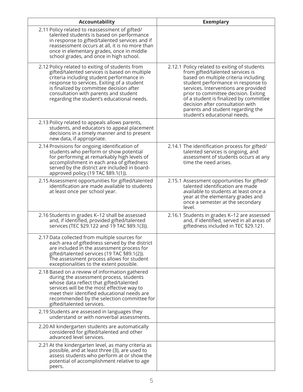| <b>Accountability</b>                                                                                                                                                                                                                                                                                                          | <b>Exemplary</b>                                                                                                                                                                                                                                                                                                                                                                                  |
|--------------------------------------------------------------------------------------------------------------------------------------------------------------------------------------------------------------------------------------------------------------------------------------------------------------------------------|---------------------------------------------------------------------------------------------------------------------------------------------------------------------------------------------------------------------------------------------------------------------------------------------------------------------------------------------------------------------------------------------------|
| 2.11 Policy related to reassessment of gifted/<br>talented students is based on performance<br>in response to gifted/talented services and if<br>reassessment occurs at all, it is no more than<br>once in elementary grades, once in middle<br>school grades, and once in high school.                                        |                                                                                                                                                                                                                                                                                                                                                                                                   |
| 2.12 Policy related to exiting of students from<br>gifted/talented services is based on multiple<br>criteria including student performance in<br>response to services. Exiting of a student<br>is finalized by committee decision after<br>consultation with parents and student<br>regarding the student's educational needs. | 2.12.1 Policy related to exiting of students<br>from gifted/talented services is<br>based on multiple criteria including<br>student performance in response to<br>services. Interventions are provided<br>prior to committee decision. Exiting<br>of a student is finalized by committee<br>decision after consultation with<br>parents and student regarding the<br>student's educational needs. |
| 2.13 Policy related to appeals allows parents,<br>students, and educators to appeal placement<br>decisions in a timely manner and to present<br>new data, if appropriate.                                                                                                                                                      |                                                                                                                                                                                                                                                                                                                                                                                                   |
| 2.14 Provisions for ongoing identification of<br>students who perform or show potential<br>for performing at remarkably high levels of<br>accomplishment in each area of giftedness<br>served by the district are included in board-<br>approved policy (19 TAC §89.1(1)).                                                     | 2.14.1 The identification process for gifted/<br>talented services is ongoing, and<br>assessment of students occurs at any<br>time the need arises.                                                                                                                                                                                                                                               |
| 2.15 Assessment opportunities for gifted/talented<br>identification are made available to students<br>at least once per school year.                                                                                                                                                                                           | 2.15.1 Assessment opportunities for gifted/<br>talented identification are made<br>available to students at least once a<br>year at the elementary grades and<br>once a semester at the secondary<br>level.                                                                                                                                                                                       |
| 2.16 Students in grades K-12 shall be assessed<br>and, if identified, provided gifted/talented<br>services (TEC §29.122 and 19 TAC §89.1(3)).                                                                                                                                                                                  | 2.16.1 Students in grades K-12 are assessed<br>and, if identified, served in all areas of<br>giftedness included in TEC §29.121.                                                                                                                                                                                                                                                                  |
| 2.17 Data collected from multiple sources for<br>each area of giftedness served by the district<br>are included in the assessment process for<br>gifted/talented services (19 TAC §89.1(2)).<br>The assessment process allows for student<br>exceptionalities to the extent possible.                                          |                                                                                                                                                                                                                                                                                                                                                                                                   |
| 2.18 Based on a review of information gathered<br>during the assessment process, students<br>whose data reflect that gifted/talented<br>services will be the most effective way to<br>meet their identified educational needs are<br>recommended by the selection committee for<br>gifted/talented services.                   |                                                                                                                                                                                                                                                                                                                                                                                                   |
| 2.19 Students are assessed in languages they<br>understand or with nonverbal assessments.                                                                                                                                                                                                                                      |                                                                                                                                                                                                                                                                                                                                                                                                   |
| 2.20 All kindergarten students are automatically<br>considered for gifted/talented and other<br>advanced level services.                                                                                                                                                                                                       |                                                                                                                                                                                                                                                                                                                                                                                                   |
| 2.21 At the kindergarten level, as many criteria as<br>possible, and at least three (3), are used to<br>assess students who perform at or show the<br>potential of accomplishment relative to age<br>peers.                                                                                                                    |                                                                                                                                                                                                                                                                                                                                                                                                   |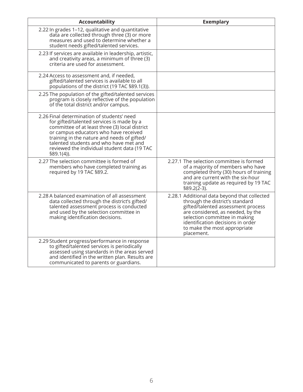| Accountability                                                                                                                                                                                                                                                                                                                               | <b>Exemplary</b>                                                                                                                                                                                                                                                               |
|----------------------------------------------------------------------------------------------------------------------------------------------------------------------------------------------------------------------------------------------------------------------------------------------------------------------------------------------|--------------------------------------------------------------------------------------------------------------------------------------------------------------------------------------------------------------------------------------------------------------------------------|
| 2.22 In grades 1-12, qualitative and quantitative<br>data are collected through three (3) or more<br>measures and used to determine whether a<br>student needs gifted/talented services.                                                                                                                                                     |                                                                                                                                                                                                                                                                                |
| 2.23 If services are available in leadership, artistic,<br>and creativity areas, a minimum of three (3)<br>criteria are used for assessment.                                                                                                                                                                                                 |                                                                                                                                                                                                                                                                                |
| 2.24 Access to assessment and, if needed,<br>gifted/talented services is available to all<br>populations of the district (19 TAC §89.1(3)).                                                                                                                                                                                                  |                                                                                                                                                                                                                                                                                |
| 2.25 The population of the gifted/talented services<br>program is closely reflective of the population<br>of the total district and/or campus.                                                                                                                                                                                               |                                                                                                                                                                                                                                                                                |
| 2.26 Final determination of students' need<br>for gifted/talented services is made by a<br>committee of at least three (3) local district<br>or campus educators who have received<br>training in the nature and needs of gifted/<br>talented students and who have met and<br>reviewed the individual student data (19 TAC<br>$$89.1(4)$ ). |                                                                                                                                                                                                                                                                                |
| 2.27 The selection committee is formed of<br>members who have completed training as<br>required by 19 TAC §89.2.                                                                                                                                                                                                                             | 2.27.1 The selection committee is formed<br>of a majority of members who have<br>completed thirty (30) hours of training<br>and are current with the six-hour<br>training update as required by 19 TAC<br>$$89.2(2-3).$                                                        |
| 2.28 A balanced examination of all assessment<br>data collected through the district's gifted/<br>talented assessment process is conducted<br>and used by the selection committee in<br>making identification decisions.                                                                                                                     | 2.28.1 Additional data beyond that collected<br>through the district's standard<br>gifted/talented assessment process<br>are considered, as needed, by the<br>selection committee in making<br>identification decisions in order<br>to make the most appropriate<br>placement. |
| 2.29 Student progress/performance in response<br>to gifted/talented services is periodically<br>assessed using standards in the areas served<br>and identified in the written plan. Results are<br>communicated to parents or guardians.                                                                                                     |                                                                                                                                                                                                                                                                                |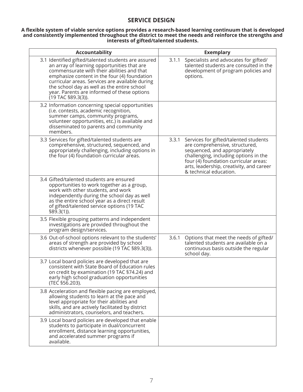## **SERVICE DESIGN**

#### **A flexible system of viable service options provides a research-based learning continuum that is developed and consistently implemented throughout the district to meet the needs and reinforce the strengths and interests of gifted/talented students.**

| Accountability                                                                                                                                                                                                                                                                                                                                                          | <b>Exemplary</b>                                                                                                                                                                                                                                                         |
|-------------------------------------------------------------------------------------------------------------------------------------------------------------------------------------------------------------------------------------------------------------------------------------------------------------------------------------------------------------------------|--------------------------------------------------------------------------------------------------------------------------------------------------------------------------------------------------------------------------------------------------------------------------|
| 3.1 Identified gifted/talented students are assured<br>an array of learning opportunities that are<br>commensurate with their abilities and that<br>emphasize content in the four (4) foundation<br>curricular areas. Services are available during<br>the school day as well as the entire school<br>year. Parents are informed of these options<br>(19 TAC §89.3(3)). | 3.1.1<br>Specialists and advocates for gifted/<br>talented students are consulted in the<br>development of program policies and<br>options.                                                                                                                              |
| 3.2 Information concerning special opportunities<br>(i.e. contests, academic recognition,<br>summer camps, community programs,<br>volunteer opportunities, etc.) is available and<br>disseminated to parents and community<br>members.                                                                                                                                  |                                                                                                                                                                                                                                                                          |
| 3.3 Services for gifted/talented students are<br>comprehensive, structured, sequenced, and<br>appropriately challenging, including options in<br>the four (4) foundation curricular areas.                                                                                                                                                                              | 3.3.1<br>Services for gifted/talented students<br>are comprehensive, structured,<br>sequenced, and appropriately<br>challenging, including options in the<br>four (4) foundation curricular areas:<br>arts, leadership, creativity, and career<br>& technical education. |
| 3.4 Gifted/talented students are ensured<br>opportunities to work together as a group,<br>work with other students, and work<br>independently during the school day as well<br>as the entire school year as a direct result<br>of gifted/talented service options (19 TAC<br>$$89.3(1)$ ).                                                                              |                                                                                                                                                                                                                                                                          |
| 3.5 Flexible grouping patterns and independent<br>investigations are provided throughout the<br>program design/services.                                                                                                                                                                                                                                                |                                                                                                                                                                                                                                                                          |
| 3.6 Out-of-school options relevant to the students'<br>areas of strength are provided by school<br>districts whenever possible (19 TAC §89.3(3)).                                                                                                                                                                                                                       | 3.6.1<br>Options that meet the needs of gifted/<br>talented students are available on a<br>continuous basis outside the regular<br>school day.                                                                                                                           |
| 3.7 Local board policies are developed that are<br>consistent with State Board of Education rules<br>on credit by examination (19 TAC §74.24) and<br>early high school graduation opportunities<br>(TEC §56.203).                                                                                                                                                       |                                                                                                                                                                                                                                                                          |
| 3.8 Acceleration and flexible pacing are employed,<br>allowing students to learn at the pace and<br>level appropriate for their abilities and<br>skills, and are actively facilitated by district<br>administrators, counselors, and teachers.                                                                                                                          |                                                                                                                                                                                                                                                                          |
| 3.9 Local board policies are developed that enable<br>students to participate in dual/concurrent<br>enrollment, distance learning opportunities,<br>and accelerated summer programs if<br>available.                                                                                                                                                                    |                                                                                                                                                                                                                                                                          |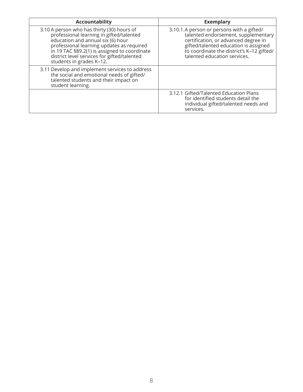| <b>Accountability</b>                                                                                                                                                                                                                                                                               | <b>Exemplary</b>                                                                                                                                                                                                                               |
|-----------------------------------------------------------------------------------------------------------------------------------------------------------------------------------------------------------------------------------------------------------------------------------------------------|------------------------------------------------------------------------------------------------------------------------------------------------------------------------------------------------------------------------------------------------|
| 3.10 A person who has thirty (30) hours of<br>professional learning in gifted/talented<br>education and annual six (6) hour<br>professional learning updates as required<br>in 19 TAC §89.2(1) is assigned to coordinate<br>district level services for gifted/talented<br>students in grades K-12. | 3.10.1.A person or persons with a gifted/<br>talented endorsement, supplementary<br>certification, or advanced degree in<br>gifted/talented education is assigned<br>to coordinate the district's K-12 gifted/<br>talented education services. |
| 3.11 Develop and implement services to address<br>the social and emotional needs of gifted/<br>talented students and their impact on<br>student learning.                                                                                                                                           |                                                                                                                                                                                                                                                |
|                                                                                                                                                                                                                                                                                                     | 3.12.1 Gifted/Talented Education Plans<br>for identified students detail the<br>individual gifted/talented needs and<br>services.                                                                                                              |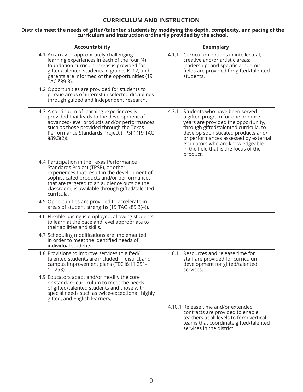# **CURRICULUM AND INSTRUCTION**

#### **Districts meet the needs of gifted/talented students by modifying the depth, complexity, and pacing of the curriculum and instruction ordinarily provided by the school.**

| <b>Accountability</b>                                                                                                                                                                                                                                                                            | <b>Exemplary</b>                                                                                                                                                                                                                                                                                                                      |
|--------------------------------------------------------------------------------------------------------------------------------------------------------------------------------------------------------------------------------------------------------------------------------------------------|---------------------------------------------------------------------------------------------------------------------------------------------------------------------------------------------------------------------------------------------------------------------------------------------------------------------------------------|
| 4.1 An array of appropriately challenging<br>learning experiences in each of the four (4)<br>foundation curricular areas is provided for<br>gifted/talented students in grades K-12, and<br>parents are informed of the opportunities (19<br>TAC §89.3).                                         | 4.1.1 Curriculum options in intellectual,<br>creative and/or artistic areas;<br>leadership; and specific academic<br>fields are provided for gifted/talented<br>students.                                                                                                                                                             |
| 4.2 Opportunities are provided for students to<br>pursue areas of interest in selected disciplines<br>through guided and independent research.                                                                                                                                                   |                                                                                                                                                                                                                                                                                                                                       |
| 4.3 A continuum of learning experiences is<br>provided that leads to the development of<br>advanced-level products and/or performances<br>such as those provided through the Texas<br>Performance Standards Project (TPSP) (19 TAC<br>$$89.3(2)$ ).                                              | Students who have been served in<br>4.3.1<br>a gifted program for one or more<br>years are provided the opportunity,<br>through gifted/talented curricula, to<br>develop sophisticated products and/<br>or performances assessed by external<br>evaluators who are knowledgeable<br>in the field that is the focus of the<br>product. |
| 4.4 Participation in the Texas Performance<br>Standards Project (TPSP), or other<br>experiences that result in the development of<br>sophisticated products and/or performances<br>that are targeted to an audience outside the<br>classroom, is available through gifted/talented<br>curricula. |                                                                                                                                                                                                                                                                                                                                       |
| 4.5 Opportunities are provided to accelerate in<br>areas of student strengths (19 TAC §89.3(4)).                                                                                                                                                                                                 |                                                                                                                                                                                                                                                                                                                                       |
| 4.6 Flexible pacing is employed, allowing students<br>to learn at the pace and level appropriate to<br>their abilities and skills.                                                                                                                                                               |                                                                                                                                                                                                                                                                                                                                       |
| 4.7 Scheduling modifications are implemented<br>in order to meet the identified needs of<br>individual students.                                                                                                                                                                                 |                                                                                                                                                                                                                                                                                                                                       |
| 4.8 Provisions to improve services to gifted/<br>talented students are included in district and<br>campus improvement plans (TEC §§11.251-<br>11.253).                                                                                                                                           | 4.8.1<br>Resources and release time for<br>staff are provided for curriculum<br>development for gifted/talented<br>services.                                                                                                                                                                                                          |
| 4.9 Educators adapt and/or modify the core<br>or standard curriculum to meet the needs<br>of gifted/talented students and those with<br>special needs such as twice-exceptional, highly<br>gifted, and English learners.                                                                         |                                                                                                                                                                                                                                                                                                                                       |
|                                                                                                                                                                                                                                                                                                  | 4.10.1 Release time and/or extended<br>contracts are provided to enable<br>teachers at all levels to form vertical<br>teams that coordinate gifted/talented<br>services in the district.                                                                                                                                              |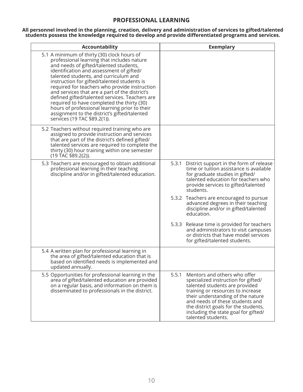## **PROFESSIONAL LEARNING**

**All personnel involved in the planning, creation, delivery and administration of services to gifted/talented students possess the knowledge required to develop and provide differentiated programs and services.** 

| Accountability                                                                                                                                                                                                                                                                                                                                                                                                                                                                                                                                                                                             | <b>Exemplary</b>                                                                                                                                                                                                                                                                                                                  |
|------------------------------------------------------------------------------------------------------------------------------------------------------------------------------------------------------------------------------------------------------------------------------------------------------------------------------------------------------------------------------------------------------------------------------------------------------------------------------------------------------------------------------------------------------------------------------------------------------------|-----------------------------------------------------------------------------------------------------------------------------------------------------------------------------------------------------------------------------------------------------------------------------------------------------------------------------------|
| 5.1 A minimum of thirty (30) clock hours of<br>professional learning that includes nature<br>and needs of gifted/talented students,<br>identification and assessment of gifted/<br>talented students, and curriculum and<br>instruction for gifted/talented students is<br>required for teachers who provide instruction<br>and services that are a part of the district's<br>defined gifted/talented services. Teachers are<br>required to have completed the thirty (30)<br>hours of professional learning prior to their<br>assignment to the district's gifted/talented<br>services (19 TAC §89.2(1)). |                                                                                                                                                                                                                                                                                                                                   |
| 5.2 Teachers without required training who are<br>assigned to provide instruction and services<br>that are part of the district's defined gifted/<br>talented services are required to complete the<br>thirty (30) hour training within one semester<br>(19 TAC §89.2(2)).                                                                                                                                                                                                                                                                                                                                 |                                                                                                                                                                                                                                                                                                                                   |
| 5.3 Teachers are encouraged to obtain additional<br>professional learning in their teaching<br>discipline and/or in gifted/talented education.                                                                                                                                                                                                                                                                                                                                                                                                                                                             | 5.3.1 District support in the form of release<br>time or tuition assistance is available<br>for graduate studies in gifted/<br>talented education for teachers who<br>provide services to gifted/talented<br>students.                                                                                                            |
|                                                                                                                                                                                                                                                                                                                                                                                                                                                                                                                                                                                                            | 5.3.2 Teachers are encouraged to pursue<br>advanced degrees in their teaching<br>discipline and/or in gifted/talented<br>education.                                                                                                                                                                                               |
|                                                                                                                                                                                                                                                                                                                                                                                                                                                                                                                                                                                                            | 5.3.3 Release time is provided for teachers<br>and administrators to visit campuses<br>or districts that have model services<br>for gifted/talented students.                                                                                                                                                                     |
| 5.4 A written plan for professional learning in<br>the area of gifted/talented education that is<br>based on identified needs is implemented and<br>updated annually.                                                                                                                                                                                                                                                                                                                                                                                                                                      |                                                                                                                                                                                                                                                                                                                                   |
| 5.5 Opportunities for professional learning in the<br>area of gifted/talented education are provided<br>on a regular basis, and information on them is<br>disseminated to professionals in the district.                                                                                                                                                                                                                                                                                                                                                                                                   | Mentors and others who offer<br>5.5.1<br>specialized instruction for gifted/<br>talented students are provided<br>training or resources to increase<br>their understanding of the nature<br>and needs of these students and<br>the district goals for the students,<br>including the state goal for gifted/<br>talented students. |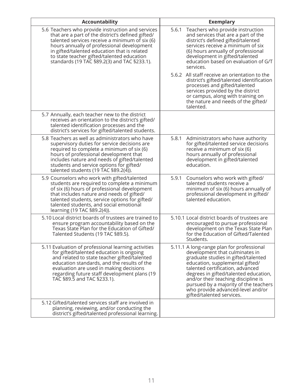| <b>Accountability</b>                                                                                                                                                                                                                                                                                                                               | <b>Exemplary</b>                                                                                                                                                                                                                                                                                                                                                                     |
|-----------------------------------------------------------------------------------------------------------------------------------------------------------------------------------------------------------------------------------------------------------------------------------------------------------------------------------------------------|--------------------------------------------------------------------------------------------------------------------------------------------------------------------------------------------------------------------------------------------------------------------------------------------------------------------------------------------------------------------------------------|
| 5.6 Teachers who provide instruction and services<br>that are a part of the district's defined gifted/<br>talented services receive a minimum of six (6)<br>hours annually of professional development<br>in gifted/talented education that is related<br>to state teacher gifted/talented education<br>standards (19 TAC §89.2(3) and TAC §233.1). | Teachers who provide instruction<br>5.6.1<br>and services that are a part of the<br>district's defined gifted/talented<br>services receive a minimum of six<br>(6) hours annually of professional<br>development in gifted/talented<br>education based on evaluation of G/T<br>services.                                                                                             |
|                                                                                                                                                                                                                                                                                                                                                     | 5.6.2 All staff receive an orientation to the<br>district's gifted/talented identification<br>processes and gifted/talented<br>services provided by the district<br>or campus, along with training on<br>the nature and needs of the gifted/<br>talented.                                                                                                                            |
| 5.7 Annually, each teacher new to the district<br>receives an orientation to the district's gifted/<br>talented identification processes and the<br>district's services for gifted/talented students.                                                                                                                                               |                                                                                                                                                                                                                                                                                                                                                                                      |
| 5.8 Teachers as well as administrators who have<br>supervisory duties for service decisions are<br>required to complete a minimum of six (6)<br>hours of professional development that<br>includes nature and needs of gifted/talented<br>students and service options for gifted/<br>talented students (19 TAC $$89.2(4)$ ).                       | 5.8.1<br>Administrators who have authority<br>for gifted/talented service decisions<br>receive a minimum of six (6)<br>hours annually of professional<br>development in gifted/talented<br>education.                                                                                                                                                                                |
| 5.9 Counselors who work with gifted/talented<br>students are required to complete a minimum<br>of six (6) hours of professional development<br>that includes nature and needs of gifted/<br>talented students, service options for gifted/<br>talented students, and social emotional<br>learning (19 TAC §89.2(4)).                                | 5.9.1<br>Counselors who work with gifted/<br>talented students receive a<br>minimum of six (6) hours annually of<br>professional development in gifted/<br>talented education.                                                                                                                                                                                                       |
| 5.10 Local district boards of trustees are trained to<br>ensure program accountability based on the<br>Texas State Plan for the Education of Gifted/<br>Talented Students (19 TAC §89.5).                                                                                                                                                           | 5.10.1 Local district boards of trustees are<br>encouraged to pursue professional<br>development on the Texas State Plan<br>for the Education of Gifted/Talented<br>Students.                                                                                                                                                                                                        |
| 5.11 Evaluation of professional learning activities<br>for gifted/talented education is ongoing<br>and related to state teacher gifted/talented<br>education standards, and the results of the<br>evaluation are used in making decisions<br>regarding future staff development plans (19<br>TAC §89.5 and TAC §233.1).                             | 5.11.1 A long-range plan for professional<br>development that culminates in<br>graduate studies in gifted/talented<br>education, supplemental gifted/<br>talented certification, advanced<br>degrees in gifted/talented education,<br>and/or their teaching discipline is<br>pursued by a majority of the teachers<br>who provide advanced-level and/or<br>gifted/talented services. |
| 5.12 Gifted/talented services staff are involved in<br>planning, reviewing, and/or conducting the<br>district's gifted/talented professional learning.                                                                                                                                                                                              |                                                                                                                                                                                                                                                                                                                                                                                      |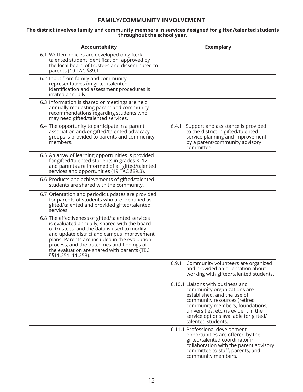# **FAMILY/COMMUNITY INVOLVEMENT**

### **The district involves family and community members in services designed for gifted/talented students throughout the school year.**

| <b>Accountability</b>                                                                                                                                                                                                                                                                                                                                            | <b>Exemplary</b>                                                                                                                                                                                                                                                           |
|------------------------------------------------------------------------------------------------------------------------------------------------------------------------------------------------------------------------------------------------------------------------------------------------------------------------------------------------------------------|----------------------------------------------------------------------------------------------------------------------------------------------------------------------------------------------------------------------------------------------------------------------------|
| 6.1 Written policies are developed on gifted/<br>talented student identification, approved by<br>the local board of trustees and disseminated to<br>parents (19 TAC §89.1).                                                                                                                                                                                      |                                                                                                                                                                                                                                                                            |
| 6.2 Input from family and community<br>representatives on gifted/talented<br>identification and assessment procedures is<br>invited annually.                                                                                                                                                                                                                    |                                                                                                                                                                                                                                                                            |
| 6.3 Information is shared or meetings are held<br>annually requesting parent and community<br>recommendations regarding students who<br>may need gifted/talented services.                                                                                                                                                                                       |                                                                                                                                                                                                                                                                            |
| 6.4 The opportunity to participate in a parent<br>association and/or gifted/talented advocacy<br>groups is provided to parents and community<br>members.                                                                                                                                                                                                         | Support and assistance is provided<br>6.4.1<br>to the district in gifted/talented<br>service planning and improvement<br>by a parent/community advisory<br>committee.                                                                                                      |
| 6.5 An array of learning opportunities is provided<br>for gifted/talented students in grades K-12,<br>and parents are informed of all gifted/talented<br>services and opportunities (19 TAC §89.3).                                                                                                                                                              |                                                                                                                                                                                                                                                                            |
| 6.6 Products and achievements of gifted/talented<br>students are shared with the community.                                                                                                                                                                                                                                                                      |                                                                                                                                                                                                                                                                            |
| 6.7 Orientation and periodic updates are provided<br>for parents of students who are identified as<br>gifted/talented and provided gifted/talented<br>services.                                                                                                                                                                                                  |                                                                                                                                                                                                                                                                            |
| 6.8 The effectiveness of gifted/talented services<br>is evaluated annually, shared with the board<br>of trustees, and the data is used to modify<br>and update district and campus improvement<br>plans. Parents are included in the evaluation<br>process, and the outcomes and findings of<br>the evaluation are shared with parents (TEC<br>§§11.251-11.253). |                                                                                                                                                                                                                                                                            |
|                                                                                                                                                                                                                                                                                                                                                                  | 6.9.1 Community volunteers are organized<br>and provided an orientation about<br>working with gifted/talented students.                                                                                                                                                    |
|                                                                                                                                                                                                                                                                                                                                                                  | 6.10.1 Liaisons with business and<br>community organizations are<br>established, and the use of<br>community resources (retired<br>community members, foundations,<br>universities, etc.) is evident in the<br>service options available for gifted/<br>talented students. |
|                                                                                                                                                                                                                                                                                                                                                                  | 6.11.1 Professional development<br>opportunities are offered by the<br>gifted/talented coordinator in<br>collaboration with the parent advisory<br>committee to staff, parents, and<br>community members.                                                                  |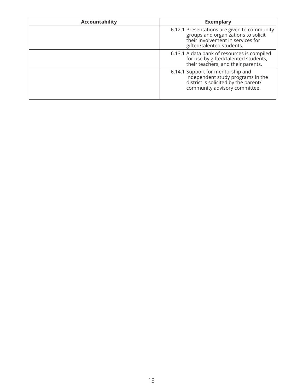| <b>Accountability</b> | <b>Exemplary</b>                                                                                                                                     |
|-----------------------|------------------------------------------------------------------------------------------------------------------------------------------------------|
|                       | 6.12.1 Presentations are given to community<br>groups and organizations to solicit<br>their involvement in services for<br>gifted/talented students. |
|                       | 6.13.1 A data bank of resources is compiled<br>for use by gifted/talented students,<br>their teachers, and their parents.                            |
|                       | 6.14.1 Support for mentorship and<br>independent study programs in the<br>district is solicited by the parent/<br>community advisory committee.      |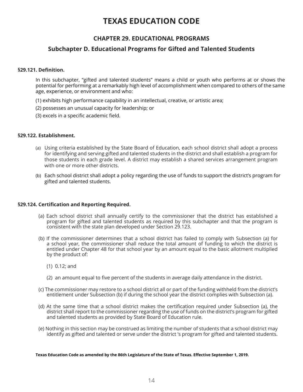# **TEXAS EDUCATION CODE**

# **CHAPTER 29. EDUCATIONAL PROGRAMS**

## **Subchapter D. Educational Programs for Gifted and Talented Students**

#### **§29.121. Definition.**

In this subchapter, "gifted and talented students" means a child or youth who performs at or shows the potential for performing at a remarkably high level of accomplishment when compared to others of the same age, experience, or environment and who:

- (1) exhibits high performance capability in an intellectual, creative, or artistic area;
- (2) possesses an unusual capacity for leadership; or
- (3) excels in a specific academic field.

#### **§29.122. Establishment.**

- (a) Using criteria established by the State Board of Education, each school district shall adopt a process for identifying and serving gifted and talented students in the district and shall establish a program for those students in each grade level. A district may establish a shared services arrangement program with one or more other districts.
- (b) Each school district shall adopt a policy regarding the use of funds to support the district's program for gifted and talented students.

#### **§29.124. Certification and Reporting Required.**

- (a) Each school district shall annually certify to the commissioner that the district has established a program for gifted and talented students as required by this subchapter and that the program is consistent with the state plan developed under Section 29.123.
- (b) If the commissioner determines that a school district has failed to comply with Subsection (a) for a school year, the commissioner shall reduce the total amount of funding to which the district is entitled under Chapter 48 for that school year by an amount equal to the basic allotment multiplied by the product of:
	- (1) 0.12; and
	- (2) an amount equal to five percent of the students in average daily attendance in the district.
- (c) The commissioner may restore to a school district all or part of the funding withheld from the district's entitlement under Subsection (b) if during the school year the district complies with Subsection (a).
- (d) At the same time that a school district makes the certification required under Subsection (a), the district shall report to the commissioner regarding the use of funds on the district's program for gifted and talented students as provided by State Board of Education rule.
- (e) Nothing in this section may be construed as limiting the number of students that a school district may identify as gifted and talented or serve under the district 's program for gifted and talented students.

#### **Texas Education Code as amended by the 86th Legislature of the State of Texas. Effective September 1, 2019.**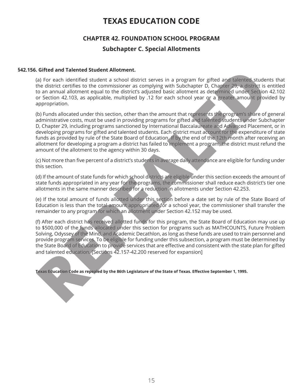# **TEXAS EDUCATION CODE**

# **CHAPTER 42. FOUNDATION SCHOOL PROGRAM Subchapter C. Special Allotments**

## **§42.156. Gifted and Talented Student Allotment.**

(a) For each identified student a school district serves in a program for gifted and talented students that the district certifies to the commissioner as complying with Subchapter D, Chapter 29, a district is entitled to an annual allotment equal to the district's adjusted basic allotment as determined under Section 42.102 or Section 42.103, as applicable, multiplied by .12 for each school year or a greater amount provided by appropriation.

(b) Funds allocated under this section, other than the amount that represents the program's share of general administrative costs, must be used in providing programs for gifted and talented students under Subchapter D, Chapter 29, including programs sanctioned by International Baccalaureate and Advanced Placement, or in developing programs for gifted and talented students. Each district must account for the expenditure of state funds as provided by rule of the State Board of Education. If by the end of the 12th month after receiving an allotment for developing a program a district has failed to implement a program, the district must refund the amount of the allotment to the agency within 30 days. **Giffed and Telented Student allotment** allotment and the student of the student of the students of the distribution of the students of the students of the students of the students of the students of the students of the st

(c) Not more than five percent of a district's students in average daily attendance are eligible for funding under this section.

(d) If the amount of state funds for which school districts are eligible under this section exceeds the amount of state funds appropriated in any year for the programs, the commissioner shall reduce each district's tier one allotments in the same manner described for a reduction in allotments under Section 42.253.

(e) If the total amount of funds allotted under this section before a date set by rule of the State Board of Education is less than the total amount appropriated for a school year, the commissioner shall transfer the remainder to any program for which an allotment under Section 42.152 may be used.

(f) After each district has received allotted funds for this program, the State Board of Education may use up to \$500,000 of the funds allocated under this section for programs such as MATHCOUNTS, Future Problem Solving, Odyssey of the Mind, and Academic Decathlon, as long as these funds are used to train personnel and provide program services. To be eligible for funding under this subsection, a program must be determined by the State Board of Education to provide services that are effective and consistent with the state plan for gifted and talented education. [Sections 42.157-42.200 reserved for expansion]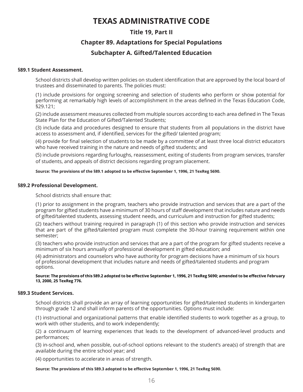# **TEXAS ADMINISTRATIVE CODE**

# **Title 19, Part II Chapter 89. Adaptations for Special Populations**

# **Subchapter A. Gifted/Talented Education**

### **§89.1 Student Assessment.**

School districts shall develop written policies on student identification that are approved by the local board of trustees and disseminated to parents. The policies must:

(1) include provisions for ongoing screening and selection of students who perform or show potential for performing at remarkably high levels of accomplishment in the areas defined in the Texas Education Code, §29.121;

(2) include assessment measures collected from multiple sources according to each area defined in The Texas State Plan for the Education of Gifted/Talented Students;

(3) include data and procedures designed to ensure that students from all populations in the district have access to assessment and, if identified, services for the gifted/ talented program;

(4) provide for final selection of students to be made by a committee of at least three local district educators who have received training in the nature and needs of gifted students; and

(5) include provisions regarding furloughs, reassessment, exiting of students from program services, transfer of students, and appeals of district decisions regarding program placement.

#### **Source: The provisions of the §89.1 adopted to be effective September 1, 1996, 21 TexReg 5690.**

#### **§89.2 Professional Development.**

School districts shall ensure that:

(1) prior to assignment in the program, teachers who provide instruction and services that are a part of the program for gifted students have a minimum of 30 hours of staff development that includes nature and needs of gifted/talented students, assessing student needs, and curriculum and instruction for gifted students;

(2) teachers without training required in paragraph (1) of this section who provide instruction and services that are part of the gifted/talented program must complete the 30-hour training requirement within one semester;

(3) teachers who provide instruction and services that are a part of the program for gifted students receive a minimum of six hours annually of professional development in gifted education; and

(4) administrators and counselors who have authority for program decisions have a minimum of six hours of professional development that includes nature and needs of gifted/talented students and program options.

#### **Source: The provisions of this §89.2 adopted to be effective September 1, 1996, 21 TexReg 5690; amended to be effective February 13, 2000, 25 TexReg 776.**

#### **§89.3 Student Services.**

School districts shall provide an array of learning opportunities for gifted/talented students in kindergarten through grade 12 and shall inform parents of the opportunities. Options must include:

(1) instructional and organizational patterns that enable identified students to work together as a group, to work with other students, and to work independently;

(2) a continuum of learning experiences that leads to the development of advanced-level products and performances;

(3) in-school and, when possible, out-of-school options relevant to the student's area(s) of strength that are available during the entire school year; and

(4) opportunities to accelerate in areas of strength.

#### **Source: The provisions of this §89.3 adopted to be effective September 1, 1996, 21 TexReg 5690.**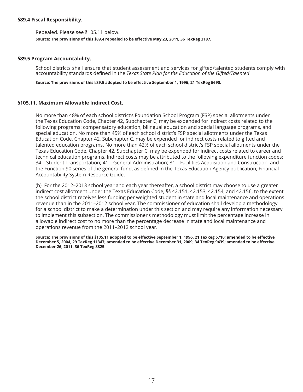#### **§89.4 Fiscal Responsibility.**

Repealed. Please see §105.11 below.

**Source: The provisions of this §89.4 repealed to be effective May 23, 2011, 36 TexReg 3187.** 

#### **§89.5 Program Accountability.**

School districts shall ensure that student assessment and services for gifted/talented students comply with accountability standards defined in the *Texas State Plan for the Education of the Gifted/Talented*.

**Source: The provisions of this §89.5 adopted to be effective September 1, 1996, 21 TexReg 5690.** 

#### **§105.11. Maximum Allowable Indirect Cost.**

No more than 48% of each school district's Foundation School Program (FSP) special allotments under the Texas Education Code, Chapter 42, Subchapter C, may be expended for indirect costs related to the following programs: compensatory education, bilingual education and special language programs, and special education. No more than 45% of each school district's FSP special allotments under the Texas Education Code, Chapter 42, Subchapter C, may be expended for indirect costs related to gifted and talented education programs. No more than 42% of each school district's FSP special allotments under the Texas Education Code, Chapter 42, Subchapter C, may be expended for indirect costs related to career and technical education programs. Indirect costs may be attributed to the following expenditure function codes: 34—Student Transportation; 41—General Administration; 81—Facilities Acquisition and Construction; and the Function 90 series of the general fund, as defined in the Texas Education Agency publication, Financial Accountability System Resource Guide.

(b) For the 2012–2013 school year and each year thereafter, a school district may choose to use a greater indirect cost allotment under the Texas Education Code, §§ 42.151, 42.153, 42.154, and 42.156, to the extent the school district receives less funding per weighted student in state and local maintenance and operations revenue than in the 2011–2012 school year. The commissioner of education shall develop a methodology for a school district to make a determination under this section and may require any information necessary to implement this subsection. The commissioner's methodology must limit the percentage increase in allowable indirect cost to no more than the percentage decrease in state and local maintenance and operations revenue from the 2011–2012 school year.

**Source: The provisions of this §105.11 adopted to be effective September 1, 1996, 21 TexReg 5710; amended to be effective December 5, 2004, 29 TexReg 11347; amended to be effective December 31, 2009, 34 TexReg 9439; amended to be effective December 26, 2011, 36 TexReg 8825.**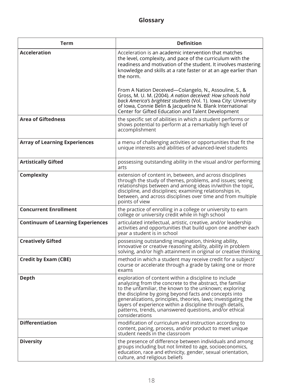| <b>Term</b>                              | <b>Definition</b>                                                                                                                                                                                                                                                                                                                                                                                                                                 |
|------------------------------------------|---------------------------------------------------------------------------------------------------------------------------------------------------------------------------------------------------------------------------------------------------------------------------------------------------------------------------------------------------------------------------------------------------------------------------------------------------|
| <b>Acceleration</b>                      | Acceleration is an academic intervention that matches<br>the level, complexity, and pace of the curriculum with the<br>readiness and motivation of the student. It involves mastering<br>knowledge and skills at a rate faster or at an age earlier than<br>the norm.                                                                                                                                                                             |
|                                          | From A Nation Deceived—Colangelo, N., Assouline, S., &<br>Gross, M. U. M. (2004). A nation deceived: How schools hold<br>back America's brightest students (Vol. 1). Iowa City: University<br>of Iowa, Connie Belin & Jacqueline N. Blank International<br>Center for Gifted Education and Talent Development                                                                                                                                     |
| <b>Area of Giftedness</b>                | the specific set of abilities in which a student performs or<br>shows potential to perform at a remarkably high level of<br>accomplishment                                                                                                                                                                                                                                                                                                        |
| <b>Array of Learning Experiences</b>     | a menu of challenging activities or opportunities that fit the<br>unique interests and abilities of advanced-level students                                                                                                                                                                                                                                                                                                                       |
| <b>Artistically Gifted</b>               | possessing outstanding ability in the visual and/or performing<br>arts                                                                                                                                                                                                                                                                                                                                                                            |
| <b>Complexity</b>                        | extension of content in, between, and across disciplines<br>through the study of themes, problems, and issues; seeing<br>relationships between and among ideas in/within the topic,<br>discipline, and disciplines; examining relationships in,<br>between, and across disciplines over time and from multiple<br>points of view                                                                                                                  |
| <b>Concurrent Enrollment</b>             | the practice of enrolling in a college or university to earn<br>college or university credit while in high school                                                                                                                                                                                                                                                                                                                                 |
| <b>Continuum of Learning Experiences</b> | articulated intellectual, artistic, creative, and/or leadership<br>activities and opportunities that build upon one another each<br>year a student is in school                                                                                                                                                                                                                                                                                   |
| <b>Creatively Gifted</b>                 | possessing outstanding imagination, thinking ability,<br>innovative or creative reasoning ability, ability in problem<br>solving, and/or high attainment in original or creative thinking                                                                                                                                                                                                                                                         |
| <b>Credit by Exam (CBE)</b>              | method in which a student may receive credit for a subject/<br>course or accelerate through a grade by taking one or more<br>exams                                                                                                                                                                                                                                                                                                                |
| <b>Depth</b>                             | exploration of content within a discipline to include<br>analyzing from the concrete to the abstract, the familiar<br>to the unfamiliar, the known to the unknown; exploring<br>the discipline by going beyond facts and concepts into<br>generalizations, principles, theories, laws; investigating the<br>layers of experience within a discipline through details,<br>patterns, trends, unanswered questions, and/or ethical<br>considerations |
| <b>Differentiation</b>                   | modification of curriculum and instruction according to<br>content, pacing, process, and/or product to meet unique<br>student needs in the classroom                                                                                                                                                                                                                                                                                              |
| <b>Diversity</b>                         | the presence of difference between individuals and among<br>groups including but not limited to age, socioeconomics,<br>education, race and ethnicity, gender, sexual orientation,<br>culture, and religious beliefs                                                                                                                                                                                                                              |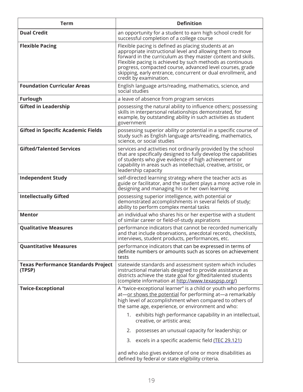| <b>Term</b>                                          | <b>Definition</b>                                                                                                                                                                                                                                                                                                                                                                                                                                                                                                       |
|------------------------------------------------------|-------------------------------------------------------------------------------------------------------------------------------------------------------------------------------------------------------------------------------------------------------------------------------------------------------------------------------------------------------------------------------------------------------------------------------------------------------------------------------------------------------------------------|
| <b>Dual Credit</b>                                   | an opportunity for a student to earn high school credit for<br>successful completion of a college course                                                                                                                                                                                                                                                                                                                                                                                                                |
| <b>Flexible Pacing</b>                               | Flexible pacing is defined as placing students at an<br>appropriate instructional level and allowing them to move<br>forward in the curriculum as they master content and skills.<br>Flexible pacing is achieved by such methods as continuous<br>progress, compacted course, advanced level courses, grade<br>skipping, early entrance, concurrent or dual enrollment, and<br>credit by examination.                                                                                                                   |
| <b>Foundation Curricular Areas</b>                   | English language arts/reading, mathematics, science, and<br>social studies                                                                                                                                                                                                                                                                                                                                                                                                                                              |
| <b>Furlough</b>                                      | a leave of absence from program services                                                                                                                                                                                                                                                                                                                                                                                                                                                                                |
| <b>Gifted in Leadership</b>                          | possessing the natural ability to influence others; possessing<br>skills in interpersonal relationships demonstrated, for<br>example, by outstanding ability in such activities as student<br>government                                                                                                                                                                                                                                                                                                                |
| <b>Gifted in Specific Academic Fields</b>            | possessing superior ability or potential in a specific course of<br>study such as English language arts/reading, mathematics,<br>science, or social studies                                                                                                                                                                                                                                                                                                                                                             |
| <b>Gifted/Talented Services</b>                      | services and activities not ordinarily provided by the school<br>that are specifically designed to fully develop the capabilities<br>of students who give evidence of high achievement or<br>capability in areas such as intellectual, creative, artistic, or<br>leadership capacity                                                                                                                                                                                                                                    |
| <b>Independent Study</b>                             | self-directed learning strategy where the teacher acts as<br>guide or facilitator, and the student plays a more active role in<br>designing and managing his or her own learning                                                                                                                                                                                                                                                                                                                                        |
| <b>Intellectually Gifted</b>                         | possessing superior intelligence, with potential or<br>demonstrated accomplishments in several fields of study;<br>ability to perform complex mental tasks                                                                                                                                                                                                                                                                                                                                                              |
| <b>Mentor</b>                                        | an individual who shares his or her expertise with a student<br>of similar career or field-of-study aspirations                                                                                                                                                                                                                                                                                                                                                                                                         |
| <b>Qualitative Measures</b>                          | performance indicators that cannot be recorded numerically<br>and that include observations, anecdotal records, checklists,<br>interviews, student products, performances, etc.                                                                                                                                                                                                                                                                                                                                         |
| <b>Quantitative Measures</b>                         | performance indicators that can be expressed in terms of<br>definite numbers or amounts such as scores on achievement<br>tests                                                                                                                                                                                                                                                                                                                                                                                          |
| <b>Texas Performance Standards Project</b><br>(TPSP) | statewide standards and assessment system which includes<br>instructional materials designed to provide assistance as<br>districts achieve the state goal for gifted/talented students<br>(complete information at http://www.texaspsp.org/)                                                                                                                                                                                                                                                                            |
| <b>Twice-Exceptional</b>                             | A "twice-exceptional learner" is a child or youth who performs<br>at-or shows the potential for performing at-a remarkably<br>high level of accomplishment when compared to others of<br>the same age, experience, or environment and who:<br>1. exhibits high performance capability in an intellectual,<br>creative, or artistic area;<br>possesses an unusual capacity for leadership; or<br>2.<br>3. excels in a specific academic field (TEC 29.121)<br>and who also gives evidence of one or more disabilities as |
|                                                      | defined by federal or state eligibility criteria.                                                                                                                                                                                                                                                                                                                                                                                                                                                                       |